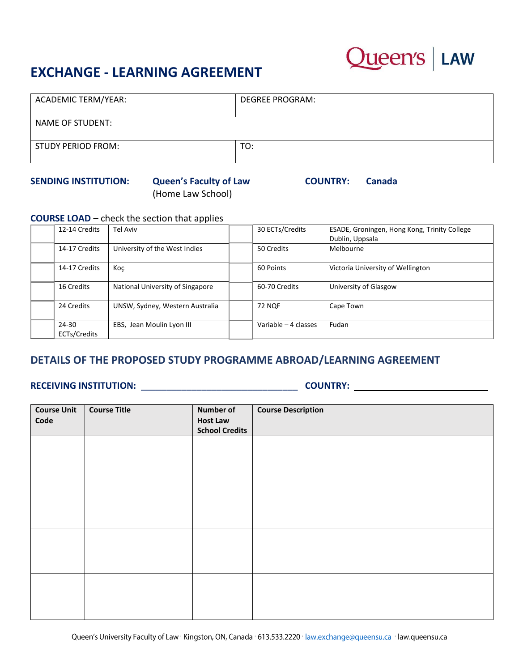## **EXCHANGE - LEARNING AGREEMENT**



| ACADEMIC TERM/YEAR: | <b>DEGREE PROGRAM:</b> |
|---------------------|------------------------|
| NAME OF STUDENT:    |                        |
| STUDY PERIOD FROM:  | TO:                    |

#### **SENDING INSTITUTION: Queen's Faculty of Law COUNTRY: Canada**

# (Home Law School)

**COURSE LOAD** – check the section that applies

| 12-14 Credits         | Tel Aviv                         | 30 ECTs/Credits      | ESADE, Groningen, Hong Kong, Trinity College |
|-----------------------|----------------------------------|----------------------|----------------------------------------------|
|                       |                                  |                      | Dublin, Uppsala                              |
| 14-17 Credits         | University of the West Indies    | 50 Credits           | Melbourne                                    |
| 14-17 Credits         | Koc                              | 60 Points            | Victoria University of Wellington            |
| 16 Credits            | National University of Singapore | 60-70 Credits        | University of Glasgow                        |
| 24 Credits            | UNSW, Sydney, Western Australia  | <b>72 NOF</b>        | Cape Town                                    |
| 24-30<br>ECTs/Credits | EBS, Jean Moulin Lyon III        | Variable - 4 classes | Fudan                                        |

### **DETAILS OF THE PROPOSED STUDY PROGRAMME ABROAD/LEARNING AGREEMENT**

## **RECEIVING INSTITUTION:** \_\_\_\_\_\_\_\_\_\_\_\_\_\_\_\_\_\_\_\_\_\_\_\_\_\_\_\_\_\_\_ **COUNTRY:**

| <b>Course Unit</b><br>Code | <b>Course Title</b> | <b>Number of</b><br><b>Host Law</b><br><b>School Credits</b> | <b>Course Description</b> |
|----------------------------|---------------------|--------------------------------------------------------------|---------------------------|
|                            |                     |                                                              |                           |
|                            |                     |                                                              |                           |
|                            |                     |                                                              |                           |
|                            |                     |                                                              |                           |